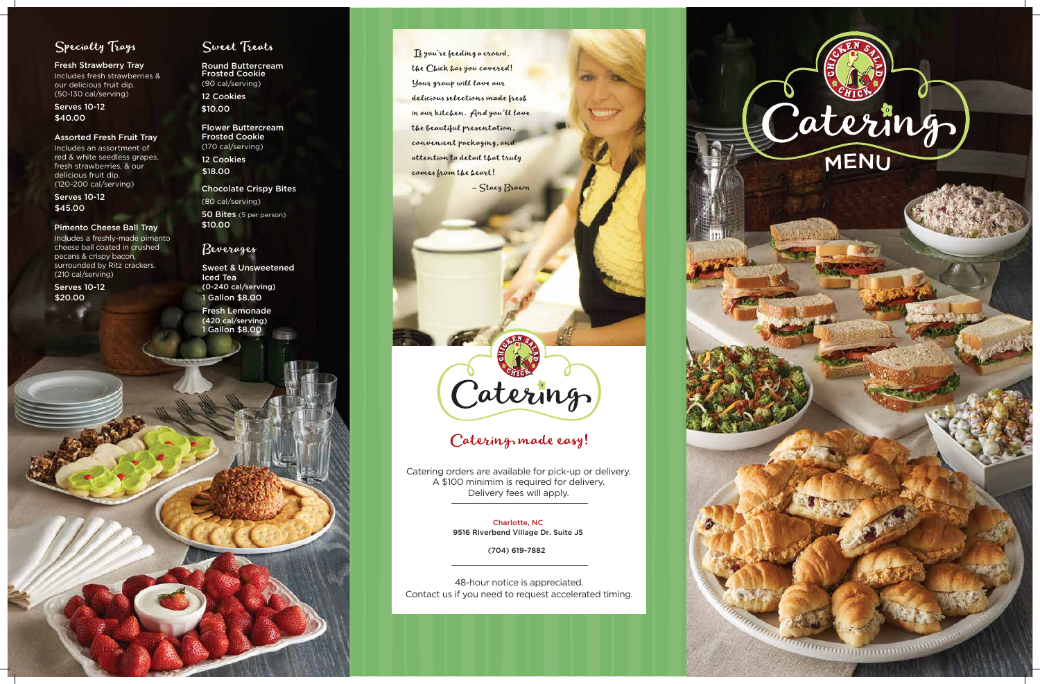

## Specialty Trays

Fresh Strawberry Tray Includes fresh strawberries &

our delicious fruit dip. (50-130 cal/serving)

#### Assorted Fresh Fruit Tray

Includes an assortment of red & white seedless grapes, fresh strawberries, & our delicious fruit dip. (120-200 cal/serving)

Serves 10-12 \$40.00

#### Pimento Cheese Ball Tray

Serves 10-12 \$45.00

Includes a freshly-made pimento cheese ball coated in crushed pecans & crispy bacon, surrounded by Ritz crackers. (210 cal/serving)

Serves 10-12 \$20.00

## Sweet Treats

48-hour notice is appreciated. Contact us if you need to request accelerated timing.





## Catering made easy!

Catering orders are available for pick-up or delivery. A \$100 minimim is required for delivery. Delivery fees will apply.

> Charlotte, NC 9516 Riverbend Village Dr. Suite J5

> > (704) 619-7882

Round Buttercream Frosted Cookie (90 cal/serving) 12 Cookies

\$10.00

Flower Buttercream Frosted Cookie (170 cal/serving) 12 Cookies

\$18.00

Chocolate Crispy Bites

(80 cal/serving) 50 Bites (5 per person) \$10.00

### Beverages

Sweet & Unsweetened Iced Tea (0-240 cal/serving) 1 Gallon \$8.00

Fresh Lemonade (420 cal/serving) 1 Gallon \$8.00

Thyou're feeding a crowd, the Chick has you covered! Your group will love our delicious selections made fresh in our kitchen. And you'll love the beautiful presentation, convenient packaging, and attention to detail that truly comes from the heart!

- Stacy Brown